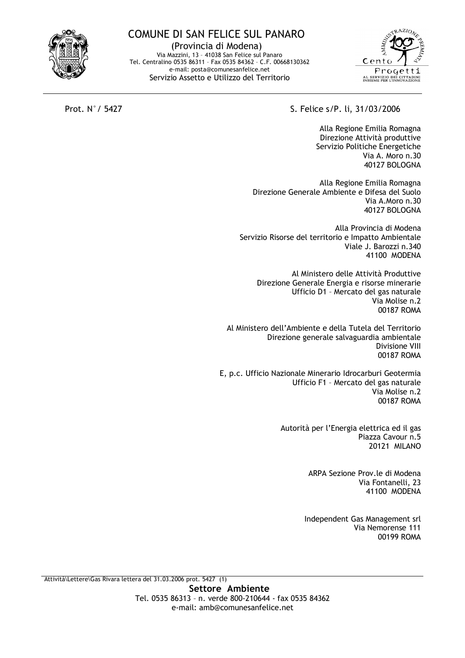## **COMUNE DI SAN FELICE SUL PANARO**

(Provincia di Modena) Via Mazzini, 13 - 41038 San Felice sul Panaro Tel. Centralino 0535 86311 - Fax 0535 84362 - C.F. 00668130362 e-mail: posta@comunesanfelice.net Servizio Assetto e Utilizzo del Territorio



Prot. N° / 5427

S. Felice s/P. li, 31/03/2006

Alla Regione Emilia Romagna Direzione Attività produttive Servizio Politiche Energetiche Via A. Moro n.30 40127 BOLOGNA

Alla Regione Emilia Romagna Direzione Generale Ambiente e Difesa del Suolo Via A.Moro n.30 40127 BOLOGNA

Alla Provincia di Modena Servizio Risorse del territorio e Impatto Ambientale Viale J. Barozzi n.340 41100 MODENA

Al Ministero delle Attività Produttive Direzione Generale Energia e risorse minerarie Ufficio D1 - Mercato del gas naturale Via Molise n.2 00187 ROMA

Al Ministero dell'Ambiente e della Tutela del Territorio Direzione generale salvaguardia ambientale **Divisione VIII** 00187 ROMA

E, p.c. Ufficio Nazionale Minerario Idrocarburi Geotermia Ufficio F1 - Mercato del gas naturale Via Molise n.2 00187 ROMA

> Autorità per l'Energia elettrica ed il gas Piazza Cavour n.5 **20121 MILANO**

> > ARPA Sezione Prov.le di Modena Via Fontanelli, 23 41100 MODENA

Independent Gas Management srl Via Nemorense 111 00199 ROMA

Attività\Lettere\Gas Rivara lettera del 31.03.2006 prot. 5427 (1)

Settore Ambiente Tel. 0535 86313 - n. verde 800-210644 - fax 0535 84362 e-mail: amb@comunesanfelice.net